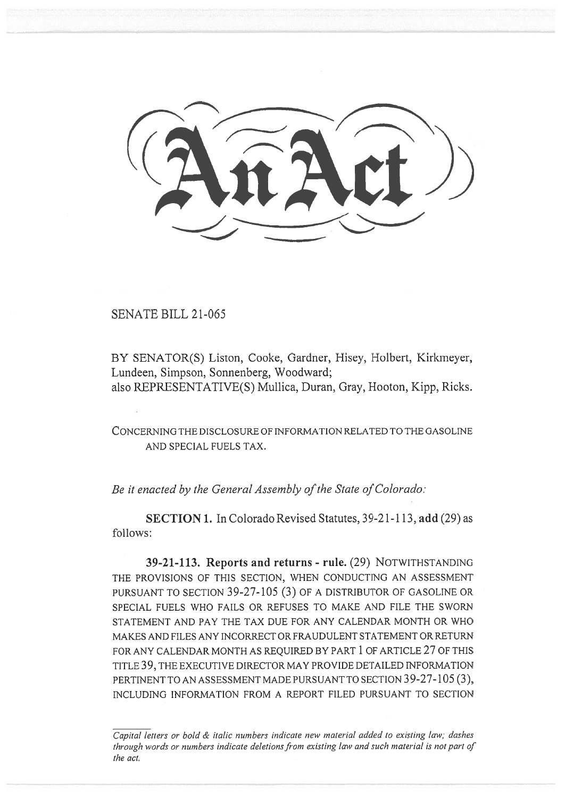i nrct))

SENATE BILL 21-065

BY SENATOR(S) Liston, Cooke, Gardner, Hisey, Holbert, Kirkmeyer, Lundeen, Simpson, Sonnenberg, Woodward; also REPRESENTATIVE(S) Mullica, Duran, Gray, Hooton, Kipp, Ricks.

CONCERNING THE DISCLOSURE OF INFORMATION RELATED TO THE GASOLINE AND SPECIAL FUELS TAX.

Be it enacted by the General Assembly of the State of Colorado:

SECTION 1. In Colorado Revised Statutes, 39-21-113, add (29) as follows:

39-21-113. Reports and returns - rule. (29) NOTWITHSTANDING THE PROVISIONS OF THIS SECTION, WHEN CONDUCTING AN ASSESSMENT PURSUANT TO SECTION 39-27-105 (3) OF A DISTRIBUTOR OF GASOLINE OR SPECIAL FUELS WHO FAILS OR REFUSES TO MAKE AND FILE THE SWORN STATEMENT AND PAY THE TAX DUE FOR ANY CALENDAR MONTH OR WHO MAKES AND FILES ANY INCORRECT OR FRAUDULENT STATEMENT OR RETURN FOR ANY CALENDAR MONTH AS REQUIRED BY PART 1 OF ARTICLE 27 OF THIS TITLE 39, THE EXECUTIVE DIRECTOR MAY PROVIDE DETAILED INFORMATION PERTINENT TO AN ASSESSMENT MADE PURSUANT TO SECTION 39-27-105 (3), INCLUDING INFORMATION FROM A REPORT FILED PURSUANT TO SECTION

Capital letters or bold & italic numbers indicate new material added to existing law; dashes through words or numbers indicate deletions from existing law and such material is not part of the act.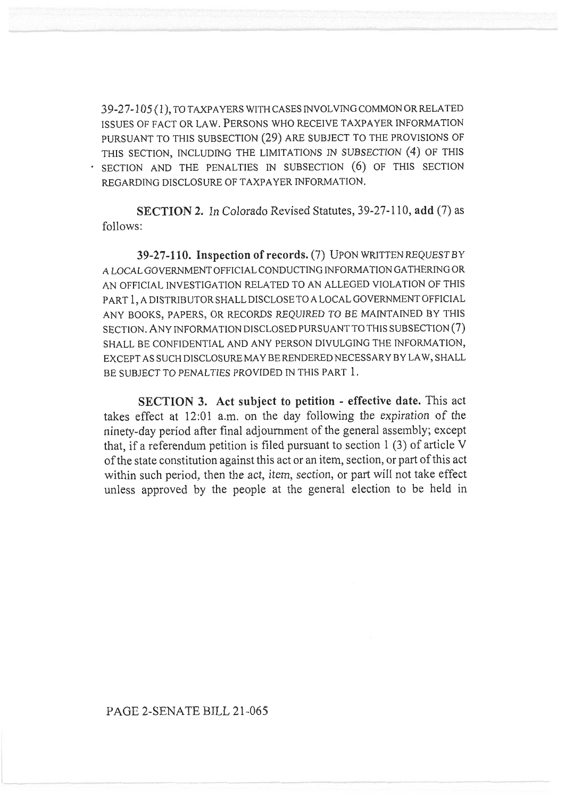39-27-105 (1), TO TAXPAYERS WITH CASES INVOLVING COMMON OR RELATED ISSUES OF FACT OR LAW. PERSONS WHO RECEIVE TAXPAYER INFORMATION PURSUANT TO THIS SUBSECTION (29) ARE SUBJECT TO THE PROVISIONS OF THIS SECTION, INCLUDING THE LIMITATIONS IN SUBSECTION (4) OF THIS . SECTION AND THE PENALTIES IN SUBSECTION (6) OF THIS SECTION REGARDING DISCLOSURE OF TAXPAYER INFORMATION.

SECTION 2. In Colorado Revised Statutes, 39-27-110, add (7) as follows:

39-27-110. Inspection of records. (7) UPON WRITTEN REQUEST BY A LOCAL GOVERNMENT OFFICIAL CONDUCTING INFORMATION GATHERING OR AN OFFICIAL INVESTIGATION RELATED TO AN ALLEGED VIOLATION OF THIS PART 1, A DISTRIBUTOR SHALL DISCLOSE TO A LOCAL GOVERNMENT OFFICIAL ANY BOOKS, PAPERS, OR RECORDS REQUIRED TO BE MAINTAINED BY THIS SECTION. ANY INFORMATION DISCLOSED PURSUANT TO THIS SUBSECTION (7) SHALL BE CONFIDENTIAL AND ANY PERSON DIVULGING THE INFORMATION, EXCEPT AS SUCH DISCLOSURE MAY BE RENDERED NECESSARY BY LAW, SHALL BE SUBJECT TO PENALTIES PROVIDED IN THIS PART 1.

SECTION 3. Act subject to petition - effective date. This act takes effect at 12:01 a.m. on the day following the expiration of the ninety-day period after final adjournment of the general assembly; except that, if a referendum petition is filed pursuant to section 1 (3) of article V of the state constitution against this act or an item, section, or part of this act within such period, then the act, item, section, or part will not take effect unless approved by the people at the general election to be held in